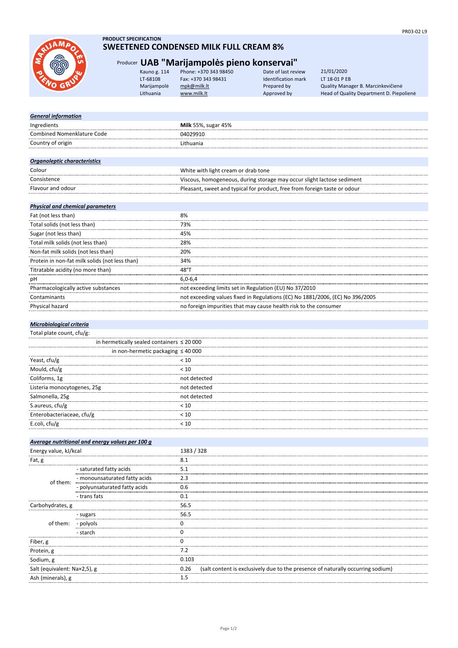

# **PRODUCT SPECIFICATION**

# **SWEETENED CONDENSED MILK FULL CREAM 8%**

Flavour and odour Pleasant, sweet and typical for product, free from foreign taste or odour

# Producer **UAB "Marijampolės pieno konservai"**

| Kauno g. 114 | Phone: +370 343 98450 | Date of last review | 21/01/2020                               |
|--------------|-----------------------|---------------------|------------------------------------------|
| LT-68108     | Fax: +370 343 98431   | Identification mark | LT 18-01 P EB                            |
| Marijampolė  | mpk@milk.lt           | Prepared by         | Quality Manager B. Marcinkevičienė       |
| Lithuania    | www.milk.lt           | Approved by         | Head of Quality Department D. Piepolienė |
|              |                       |                     |                                          |

| <b>General information</b>        |                                                                        |
|-----------------------------------|------------------------------------------------------------------------|
| Ingredients                       | <b>Milk</b> 55%, sugar 45%                                             |
| <b>Combined Nomenklature Code</b> | 04029910                                                               |
| Country of origin                 | Lithuania                                                              |
|                                   |                                                                        |
| Organoleptic characteristics      |                                                                        |
| Colour                            | White with light cream or drab tone                                    |
| Consistence                       | Viscous, homogeneous, during storage may occur slight lactose sediment |

## *Physical and chemical parameters*

| Fat (not less than)                            | 8%                                                                            |
|------------------------------------------------|-------------------------------------------------------------------------------|
| Total solids (not less than)                   | 73%                                                                           |
| Sugar (not less than)                          | 45%                                                                           |
| Total milk solids (not less than)              | 28%                                                                           |
| Non-fat milk solids (not less than)            | 20%                                                                           |
| Protein in non-fat milk solids (not less than) | 34%                                                                           |
| Titratable acidity (no more than)              | 48°T                                                                          |
| рH                                             | $6.0 - 6.4$                                                                   |
| Pharmacologically active substances            | not exceeding limits set in Regulation (EU) No 37/2010                        |
| Contaminants                                   | not exceeding values fixed in Regulations (EC) No 1881/2006, (EC) No 396/2005 |
| Physical hazard                                | no foreign impurities that may cause health risk to the consumer              |

## *Microbiological criteria*

| Total plate count, cfu/g:                      |              |
|------------------------------------------------|--------------|
| in hermetically sealed containers $\leq 20000$ |              |
| in non-hermetic packaging $\leq 40000$         |              |
| Yeast, cfu/g                                   | 10 >         |
| Mould, cfu/g                                   | < 10         |
| Coliforms, 1g                                  | hot detected |
| Listeria monocytogenes, 25g                    | not detected |
| Salmonella, 25g                                | hot detected |
| S.aureus, cfu/g                                |              |
| Enterobacteriaceae, cfu/g                      |              |
| E.coli, $ctu/g$                                |              |

|                              | Average nutritional and energy values per 100 g |            |                                                                                 |
|------------------------------|-------------------------------------------------|------------|---------------------------------------------------------------------------------|
| Energy value, kJ/kcal        |                                                 | 1383 / 328 |                                                                                 |
| Fat, g                       |                                                 | 8.1        |                                                                                 |
|                              | - saturated fatty acids                         | 5.1        |                                                                                 |
| of them:                     | - monounsaturated fatty acids                   | 2.3        |                                                                                 |
|                              | - polyunsaturated fatty acids                   | 0.6        |                                                                                 |
|                              | - trans fats                                    | 0.1        |                                                                                 |
| Carbohydrates, g             |                                                 | 56.5       |                                                                                 |
|                              | - sugars                                        | 56.5       |                                                                                 |
| of them:                     | - polyols                                       |            |                                                                                 |
|                              | - starch                                        |            |                                                                                 |
| Fiber, g                     |                                                 |            |                                                                                 |
| Protein, g                   |                                                 | 7.2        |                                                                                 |
| Sodium, g                    |                                                 | 0.103      |                                                                                 |
| Salt (equivalent: Na×2,5), g |                                                 | 0.26       | (salt content is exclusively due to the presence of naturally occurring sodium) |
| Ash (minerals), g            |                                                 | 1.5        |                                                                                 |